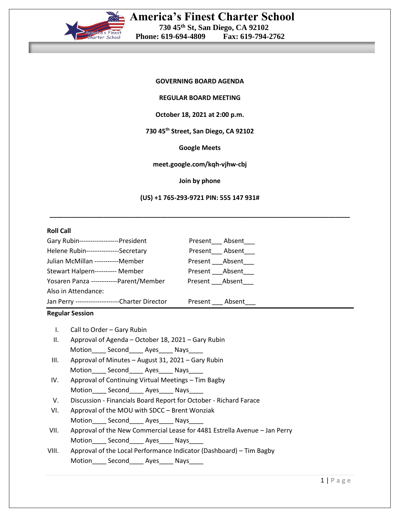

### **REGULAR BOARD MEETING**

### **October 18, 2021 at 2:00 p.m.**

## **730 45th Street, San Diego, CA 92102**

### **Google Meets**

### **meet.google.com/kqh-vjhw-cbj**

### **Join by phone**

**(US) +1 765-293-9721 PIN: 555 147 931#**

**\_\_\_\_\_\_\_\_\_\_\_\_\_\_\_\_\_\_\_\_\_\_\_\_\_\_\_\_\_\_\_\_\_\_\_\_\_\_\_\_\_\_\_\_\_\_\_\_\_\_\_\_\_\_\_\_\_\_\_\_\_\_\_\_\_\_\_\_\_\_\_\_\_\_\_\_\_\_\_\_\_\_\_\_**

## **Roll Call**

| Gary Rubin------------------President           |                         | Present Absent       |
|-------------------------------------------------|-------------------------|----------------------|
| Helene Rubin---------------Secretary            |                         | Present___ Absent___ |
| Julian McMillan -----------Member               | Present Absent          |                      |
| Stewart Halpern---------- Member                | Present Absent          |                      |
| Yosaren Panza ------------Parent/Member         | Present ____ Absent____ |                      |
| Also in Attendance:                             |                         |                      |
| Jan Perry ---------------------Charter Director |                         | Present Absent       |

### **Regular Session**

I. Call to Order – Gary Rubin

- II. Approval of Agenda October 18, 2021 Gary Rubin Motion Second Ayes Nays
- III. Approval of Minutes August 31, 2021 Gary Rubin Motion\_\_\_\_\_ Second\_\_\_\_\_ Ayes\_\_\_\_\_ Nays\_\_
- IV. Approval of Continuing Virtual Meetings Tim Bagby Motion\_\_\_\_\_ Second\_\_\_\_\_ Ayes\_\_\_\_ Nays\_\_\_
- V. Discussion Financials Board Report for October Richard Farace
- VI. Approval of the MOU with SDCC Brent Wonziak Motion Second Ayes Nays
- VII. Approval of the New Commercial Lease for 4481 Estrella Avenue Jan Perry Motion\_\_\_\_\_ Second\_\_\_\_\_ Ayes\_\_\_\_ Nays\_\_\_
- VIII. Approval of the Local Performance Indicator (Dashboard) Tim Bagby Motion\_\_\_\_ Second\_\_\_\_ Ayes\_\_\_\_ Nays\_\_\_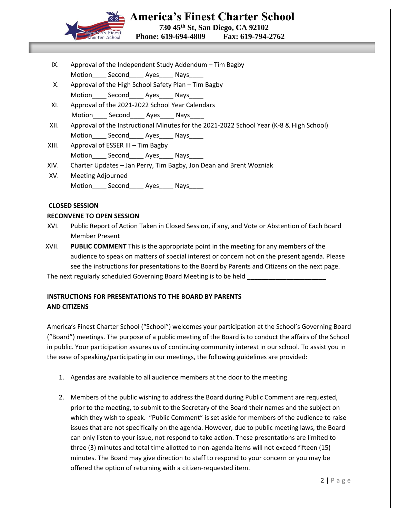

- IX. Approval of the Independent Study Addendum Tim Bagby Motion Second\_\_\_\_\_ Ayes\_\_\_\_ Nays\_\_\_
- X. Approval of the High School Safety Plan Tim Bagby Motion Second Ayes Nays
- XI. Approval of the 2021-2022 School Year Calendars Motion\_\_\_\_\_ Second\_\_\_\_\_ Ayes\_\_\_\_\_ Nays\_\_\_\_

- XII. Approval of the Instructional Minutes for the 2021-2022 School Year (K-8 & High School) Motion Second Ayes Nays
- XIII. Approval of ESSER III Tim Bagby Motion Second Ayes Nays
- XIV. Charter Updates Jan Perry, Tim Bagby, Jon Dean and Brent Wozniak
- XV. Meeting Adjourned Motion\_\_\_\_ Second\_\_\_\_ Ayes\_\_\_\_ Nays**\_\_\_\_**

## **CLOSED SESSION**

## **RECONVENE TO OPEN SESSION**

- XVI. Public Report of Action Taken in Closed Session, if any, and Vote or Abstention of Each Board Member Present
- XVII. **PUBLIC COMMENT** This is the appropriate point in the meeting for any members of the audience to speak on matters of special interest or concern not on the present agenda. Please see the instructions for presentations to the Board by Parents and Citizens on the next page.

The next regularly scheduled Governing Board Meeting is to be held **\_\_\_\_\_\_\_\_\_\_\_\_\_\_\_\_\_\_\_\_\_\_**

# **INSTRUCTIONS FOR PRESENTATIONS TO THE BOARD BY PARENTS AND CITIZENS**

America's Finest Charter School ("School") welcomes your participation at the School's Governing Board ("Board") meetings. The purpose of a public meeting of the Board is to conduct the affairs of the School in public. Your participation assures us of continuing community interest in our school. To assist you in the ease of speaking/participating in our meetings, the following guidelines are provided:

- 1. Agendas are available to all audience members at the door to the meeting
- 2. Members of the public wishing to address the Board during Public Comment are requested, prior to the meeting, to submit to the Secretary of the Board their names and the subject on which they wish to speak. "Public Comment" is set aside for members of the audience to raise issues that are not specifically on the agenda. However, due to public meeting laws, the Board can only listen to your issue, not respond to take action. These presentations are limited to three (3) minutes and total time allotted to non-agenda items will not exceed fifteen (15) minutes. The Board may give direction to staff to respond to your concern or you may be offered the option of returning with a citizen-requested item.